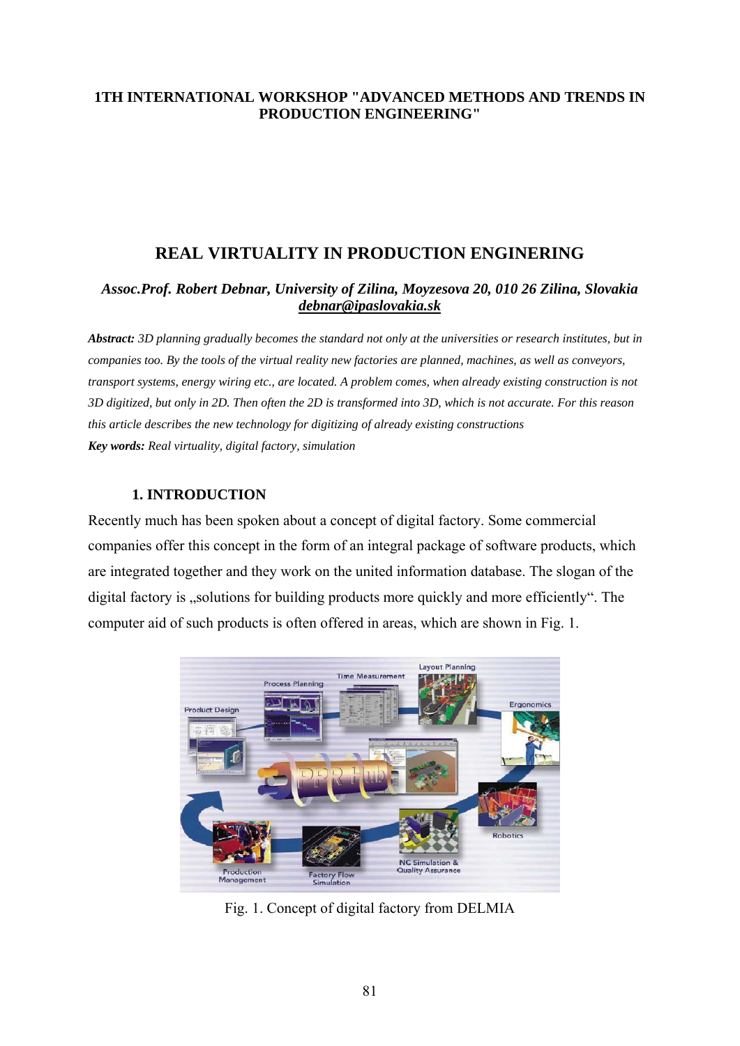## **1TH INTERNATIONAL WORKSHOP "ADVANCED METHODS AND TRENDS IN PRODUCTION ENGINEERING"**

# **REAL VIRTUALITY IN PRODUCTION ENGINERING**

## *Assoc.Prof. Robert Debnar, University of Zilina, Moyzesova 20, 010 26 Zilina, Slovakia [debnar@ipaslovakia.sk](mailto:debnar@ipaslovakia.sk)*

*Abstract: 3D planning gradually becomes the standard not only at the universities or research institutes, but in companies too. By the tools of the virtual reality new factories are planned, machines, as well as conveyors, transport systems, energy wiring etc., are located. A problem comes, when already existing construction is not 3D digitized, but only in 2D. Then often the 2D is transformed into 3D, which is not accurate. For this reason this article describes the new technology for digitizing of already existing constructions Key words: Real virtuality, digital factory, simulation*

## **1. INTRODUCTION**

Recently much has been spoken about a concept of digital factory. Some commercial companies offer this concept in the form of an integral package of software products, which are integrated together and they work on the united information database. The slogan of the digital factory is "solutions for building products more quickly and more efficiently". The computer aid of such products is often offered in areas, which are shown in Fig. 1.



Fig. 1. Concept of digital factory from DELMIA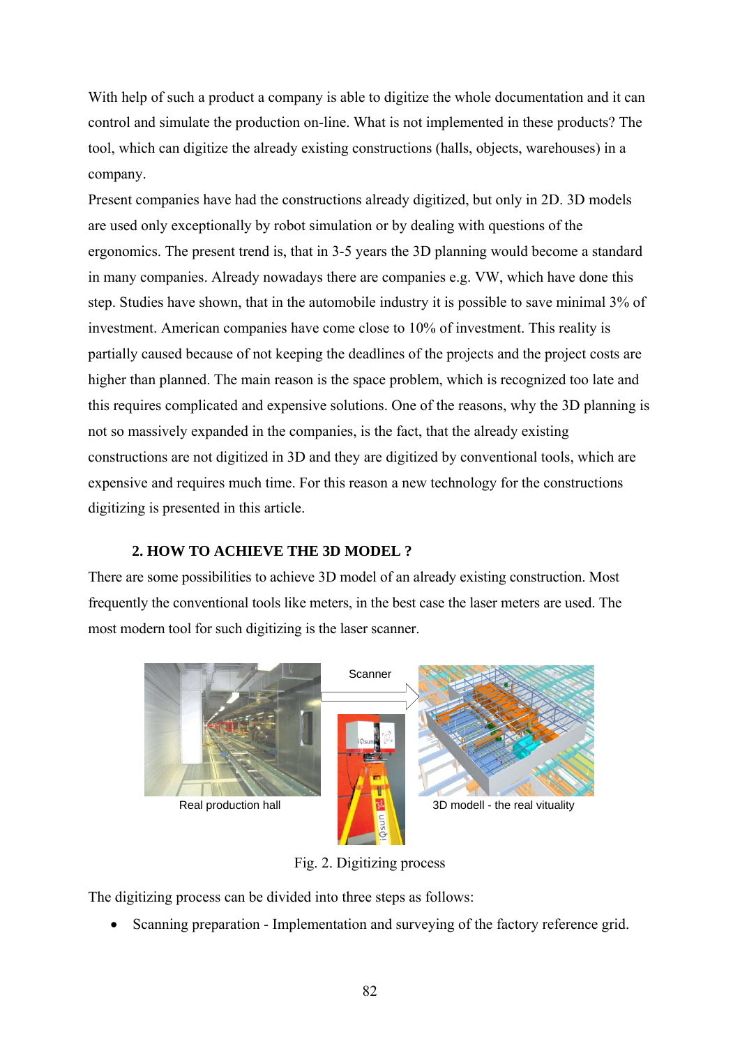With help of such a product a company is able to digitize the whole documentation and it can control and simulate the production on-line. What is not implemented in these products? The tool, which can digitize the already existing constructions (halls, objects, warehouses) in a company.

Present companies have had the constructions already digitized, but only in 2D. 3D models are used only exceptionally by robot simulation or by dealing with questions of the ergonomics. The present trend is, that in 3-5 years the 3D planning would become a standard in many companies. Already nowadays there are companies e.g. VW, which have done this step. Studies have shown, that in the automobile industry it is possible to save minimal 3% of investment. American companies have come close to 10% of investment. This reality is partially caused because of not keeping the deadlines of the projects and the project costs are higher than planned. The main reason is the space problem, which is recognized too late and this requires complicated and expensive solutions. One of the reasons, why the 3D planning is not so massively expanded in the companies, is the fact, that the already existing constructions are not digitized in 3D and they are digitized by conventional tools, which are expensive and requires much time. For this reason a new technology for the constructions digitizing is presented in this article.

### **2. HOW TO ACHIEVE THE 3D MODEL ?**

There are some possibilities to achieve 3D model of an already existing construction. Most frequently the conventional tools like meters, in the best case the laser meters are used. The most modern tool for such digitizing is the laser scanner.



Fig. 2. Digitizing process

The digitizing process can be divided into three steps as follows:

• Scanning preparation - Implementation and surveying of the factory reference grid.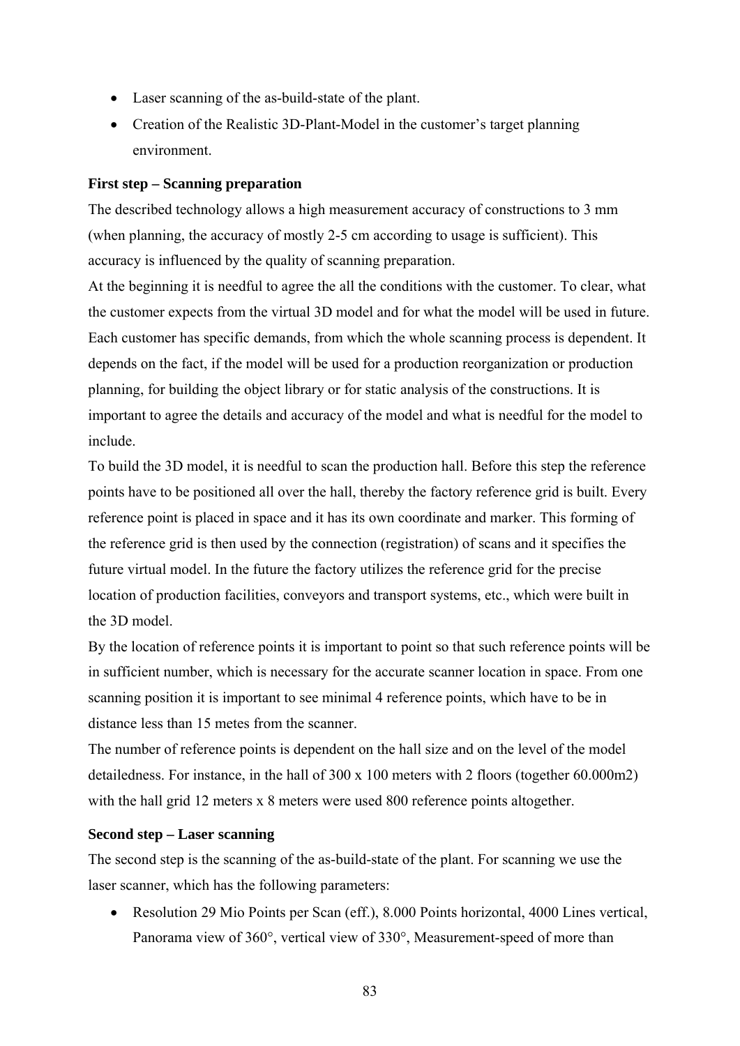- Laser scanning of the as-build-state of the plant.
- Creation of the Realistic 3D-Plant-Model in the customer's target planning environment.

#### **First step – Scanning preparation**

The described technology allows a high measurement accuracy of constructions to 3 mm (when planning, the accuracy of mostly 2-5 cm according to usage is sufficient). This accuracy is influenced by the quality of scanning preparation.

At the beginning it is needful to agree the all the conditions with the customer. To clear, what the customer expects from the virtual 3D model and for what the model will be used in future. Each customer has specific demands, from which the whole scanning process is dependent. It depends on the fact, if the model will be used for a production reorganization or production planning, for building the object library or for static analysis of the constructions. It is important to agree the details and accuracy of the model and what is needful for the model to include.

To build the 3D model, it is needful to scan the production hall. Before this step the reference points have to be positioned all over the hall, thereby the factory reference grid is built. Every reference point is placed in space and it has its own coordinate and marker. This forming of the reference grid is then used by the connection (registration) of scans and it specifies the future virtual model. In the future the factory utilizes the reference grid for the precise location of production facilities, conveyors and transport systems, etc., which were built in the 3D model.

By the location of reference points it is important to point so that such reference points will be in sufficient number, which is necessary for the accurate scanner location in space. From one scanning position it is important to see minimal 4 reference points, which have to be in distance less than 15 metes from the scanner.

The number of reference points is dependent on the hall size and on the level of the model detailedness. For instance, in the hall of 300 x 100 meters with 2 floors (together 60.000m2) with the hall grid 12 meters x 8 meters were used 800 reference points altogether.

#### **Second step – Laser scanning**

The second step is the scanning of the as-build-state of the plant. For scanning we use the laser scanner, which has the following parameters:

• Resolution 29 Mio Points per Scan (eff.), 8.000 Points horizontal, 4000 Lines vertical, Panorama view of 360°, vertical view of 330°, Measurement-speed of more than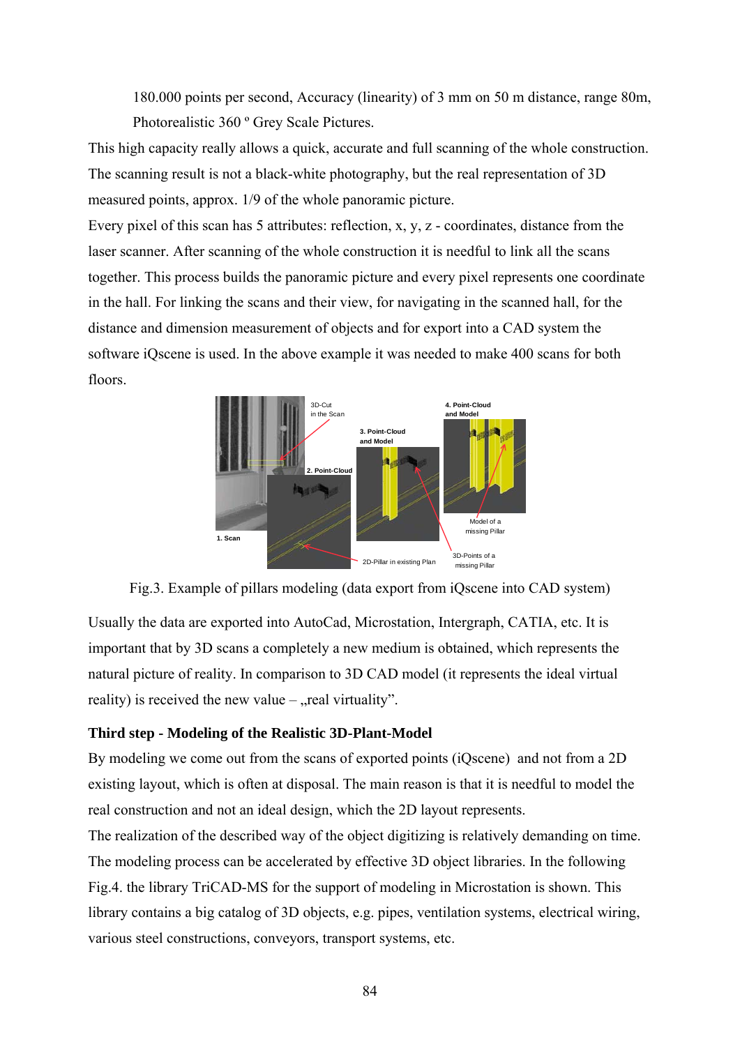180.000 points per second, Accuracy (linearity) of 3 mm on 50 m distance, range 80m, Photorealistic 360 º Grey Scale Pictures.

This high capacity really allows a quick, accurate and full scanning of the whole construction. The scanning result is not a black-white photography, but the real representation of 3D measured points, approx. 1/9 of the whole panoramic picture.

Every pixel of this scan has 5 attributes: reflection, x, y, z - coordinates, distance from the laser scanner. After scanning of the whole construction it is needful to link all the scans together. This process builds the panoramic picture and every pixel represents one coordinate in the hall. For linking the scans and their view, for navigating in the scanned hall, for the distance and dimension measurement of objects and for export into a CAD system the software iQscene is used. In the above example it was needed to make 400 scans for both floors.



Fig.3. Example of pillars modeling (data export from iQscene into CAD system)

Usually the data are exported into AutoCad, Microstation, Intergraph, CATIA, etc. It is important that by 3D scans a completely a new medium is obtained, which represents the natural picture of reality. In comparison to 3D CAD model (it represents the ideal virtual reality) is received the new value  $-$ , real virtuality".

### **Third step - Modeling of the Realistic 3D-Plant-Model**

By modeling we come out from the scans of exported points (iQscene) and not from a 2D existing layout, which is often at disposal. The main reason is that it is needful to model the real construction and not an ideal design, which the 2D layout represents.

The realization of the described way of the object digitizing is relatively demanding on time. The modeling process can be accelerated by effective 3D object libraries. In the following Fig.4. the library TriCAD-MS for the support of modeling in Microstation is shown. This library contains a big catalog of 3D objects, e.g. pipes, ventilation systems, electrical wiring, various steel constructions, conveyors, transport systems, etc.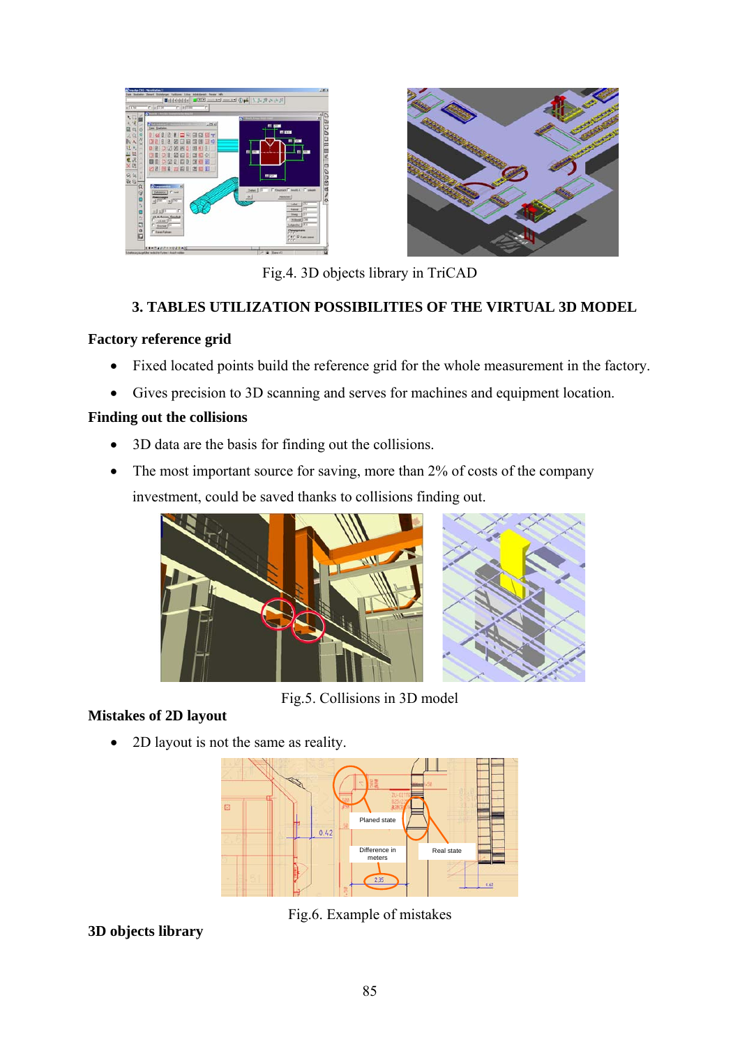



Fig.4. 3D objects library in TriCAD

## **3. TABLES UTILIZATION POSSIBILITIES OF THE VIRTUAL 3D MODEL**

## **Factory reference grid**

- Fixed located points build the reference grid for the whole measurement in the factory.
- Gives precision to 3D scanning and serves for machines and equipment location.

## **Finding out the collisions**

- 3D data are the basis for finding out the collisions.
- The most important source for saving, more than 2% of costs of the company investment, could be saved thanks to collisions finding out.





Fig.5. Collisions in 3D model

# **Mistakes of 2D layout**

• 2D layout is not the same as reality.



Fig.6. Example of mistakes

**3D objects library**